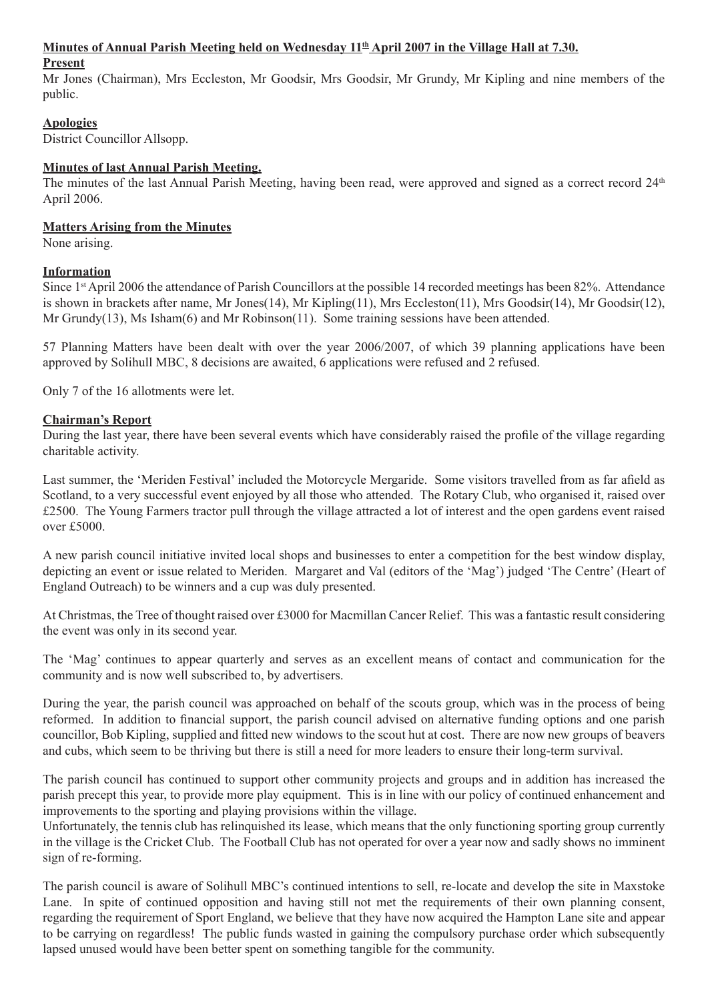### Minutes of Annual Parish Meeting held on Wednesday  $11<sup>th</sup>$  April 2007 in the Village Hall at 7.30.

#### **Present**

Mr Jones (Chairman), Mrs Eccleston, Mr Goodsir, Mrs Goodsir, Mr Grundy, Mr Kipling and nine members of the public.

## **Apologies**

District Councillor Allsopp.

### **Minutes of last Annual Parish Meeting.**

The minutes of the last Annual Parish Meeting, having been read, were approved and signed as a correct record  $24<sup>th</sup>$ April 2006.

# **Matters Arising from the Minutes**

None arising.

## **Information**

Since 1st April 2006 the attendance of Parish Councillors at the possible 14 recorded meetings has been 82%. Attendance is shown in brackets after name, Mr Jones(14), Mr Kipling(11), Mrs Eccleston(11), Mrs Goodsir(14), Mr Goodsir(12), Mr Grundy(13), Ms Isham(6) and Mr Robinson(11). Some training sessions have been attended.

57 Planning Matters have been dealt with over the year 2006/2007, of which 39 planning applications have been approved by Solihull MBC, 8 decisions are awaited, 6 applications were refused and 2 refused.

Only 7 of the 16 allotments were let.

### **Chairman's Report**

During the last year, there have been several events which have considerably raised the profile of the village regarding charitable activity.

Last summer, the 'Meriden Festival' included the Motorcycle Mergaride. Some visitors travelled from as far afield as Scotland, to a very successful event enjoyed by all those who attended. The Rotary Club, who organised it, raised over £2500. The Young Farmers tractor pull through the village attracted a lot of interest and the open gardens event raised over £5000.

A new parish council initiative invited local shops and businesses to enter a competition for the best window display, depicting an event or issue related to Meriden. Margaret and Val (editors of the 'Mag') judged 'The Centre' (Heart of England Outreach) to be winners and a cup was duly presented.

At Christmas, the Tree of thought raised over £3000 for Macmillan Cancer Relief. This was a fantastic result considering the event was only in its second year.

The 'Mag' continues to appear quarterly and serves as an excellent means of contact and communication for the community and is now well subscribed to, by advertisers.

During the year, the parish council was approached on behalf of the scouts group, which was in the process of being reformed. In addition to financial support, the parish council advised on alternative funding options and one parish councillor, Bob Kipling, supplied and fitted new windows to the scout hut at cost. There are now new groups of beavers and cubs, which seem to be thriving but there is still a need for more leaders to ensure their long-term survival.

The parish council has continued to support other community projects and groups and in addition has increased the parish precept this year, to provide more play equipment. This is in line with our policy of continued enhancement and improvements to the sporting and playing provisions within the village.

Unfortunately, the tennis club has relinquished its lease, which means that the only functioning sporting group currently in the village is the Cricket Club. The Football Club has not operated for over a year now and sadly shows no imminent sign of re-forming.

The parish council is aware of Solihull MBC's continued intentions to sell, re-locate and develop the site in Maxstoke Lane. In spite of continued opposition and having still not met the requirements of their own planning consent, regarding the requirement of Sport England, we believe that they have now acquired the Hampton Lane site and appear to be carrying on regardless! The public funds wasted in gaining the compulsory purchase order which subsequently lapsed unused would have been better spent on something tangible for the community.